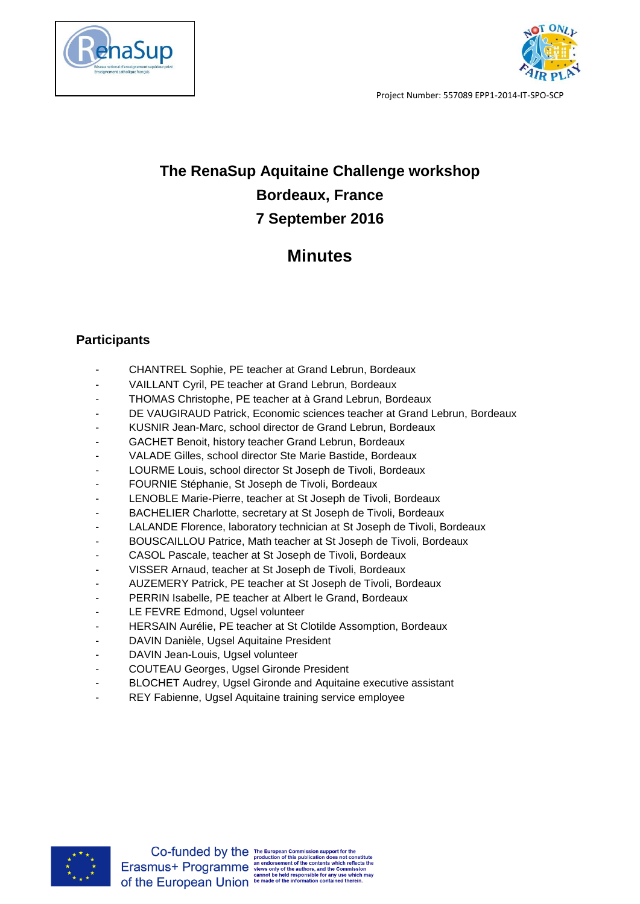



Project Number: 557089 EPP1-2014-IT-SPO-SCP

## **The RenaSup Aquitaine Challenge workshop Bordeaux, France 7 September 2016**

## **Minutes**

## **Participants**

- CHANTREL Sophie, PE teacher at Grand Lebrun, Bordeaux
- VAILLANT Cyril, PE teacher at Grand Lebrun, Bordeaux
- THOMAS Christophe, PE teacher at à Grand Lebrun, Bordeaux
- DE VAUGIRAUD Patrick, Economic sciences teacher at Grand Lebrun, Bordeaux
- KUSNIR Jean-Marc, school director de Grand Lebrun, Bordeaux
- GACHET Benoit, history teacher Grand Lebrun, Bordeaux
- VALADE Gilles, school director Ste Marie Bastide, Bordeaux
- LOURME Louis, school director St Joseph de Tivoli, Bordeaux
- FOURNIE Stéphanie, St Joseph de Tivoli, Bordeaux
- LENOBLE Marie-Pierre, teacher at St Joseph de Tivoli, Bordeaux
- BACHELIER Charlotte, secretary at St Joseph de Tivoli, Bordeaux
- LALANDE Florence, laboratory technician at St Joseph de Tivoli, Bordeaux
- BOUSCAILLOU Patrice, Math teacher at St Joseph de Tivoli, Bordeaux
- CASOL Pascale, teacher at St Joseph de Tivoli, Bordeaux
- VISSER Arnaud, teacher at St Joseph de Tivoli, Bordeaux
- AUZEMERY Patrick, PE teacher at St Joseph de Tivoli, Bordeaux
- PERRIN Isabelle, PE teacher at Albert le Grand, Bordeaux
- LE FEVRE Edmond, Ugsel volunteer
- HERSAIN Aurélie, PE teacher at St Clotilde Assomption, Bordeaux
- DAVIN Danièle, Ugsel Aquitaine President
- DAVIN Jean-Louis, Ugsel volunteer
- COUTEAU Georges, Ugsel Gironde President
- BLOCHET Audrey, Ugsel Gironde and Aquitaine executive assistant
- REY Fabienne, Ugsel Aquitaine training service employee

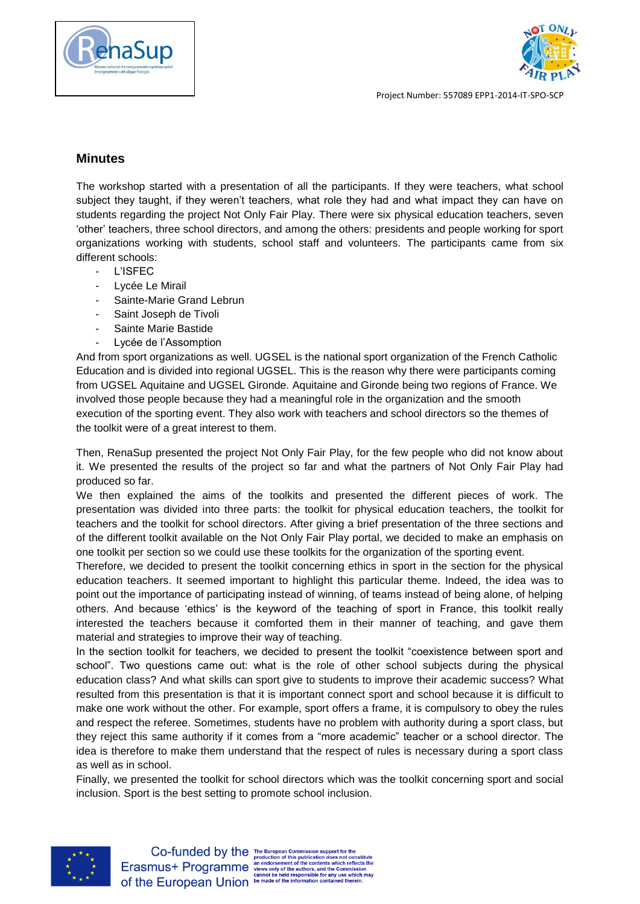



Project Number: 557089 EPP1-2014-IT-SPO-SCP

## **Minutes**

The workshop started with a presentation of all the participants. If they were teachers, what school subject they taught, if they weren't teachers, what role they had and what impact they can have on students regarding the project Not Only Fair Play. There were six physical education teachers, seven 'other' teachers, three school directors, and among the others: presidents and people working for sport organizations working with students, school staff and volunteers. The participants came from six different schools:

- L'ISFEC
- Lycée Le Mirail
- Sainte-Marie Grand Lebrun
- Saint Joseph de Tivoli
- Sainte Marie Bastide
- Lycée de l'Assomption

And from sport organizations as well. UGSEL is the national sport organization of the French Catholic Education and is divided into regional UGSEL. This is the reason why there were participants coming from UGSEL Aquitaine and UGSEL Gironde. Aquitaine and Gironde being two regions of France. We involved those people because they had a meaningful role in the organization and the smooth execution of the sporting event. They also work with teachers and school directors so the themes of the toolkit were of a great interest to them.

Then, RenaSup presented the project Not Only Fair Play, for the few people who did not know about it. We presented the results of the project so far and what the partners of Not Only Fair Play had produced so far.

We then explained the aims of the toolkits and presented the different pieces of work. The presentation was divided into three parts: the toolkit for physical education teachers, the toolkit for teachers and the toolkit for school directors. After giving a brief presentation of the three sections and of the different toolkit available on the Not Only Fair Play portal, we decided to make an emphasis on one toolkit per section so we could use these toolkits for the organization of the sporting event.

Therefore, we decided to present the toolkit concerning ethics in sport in the section for the physical education teachers. It seemed important to highlight this particular theme. Indeed, the idea was to point out the importance of participating instead of winning, of teams instead of being alone, of helping others. And because 'ethics' is the keyword of the teaching of sport in France, this toolkit really interested the teachers because it comforted them in their manner of teaching, and gave them material and strategies to improve their way of teaching.

In the section toolkit for teachers, we decided to present the toolkit "coexistence between sport and school". Two questions came out: what is the role of other school subjects during the physical education class? And what skills can sport give to students to improve their academic success? What resulted from this presentation is that it is important connect sport and school because it is difficult to make one work without the other. For example, sport offers a frame, it is compulsory to obey the rules and respect the referee. Sometimes, students have no problem with authority during a sport class, but they reject this same authority if it comes from a "more academic" teacher or a school director. The idea is therefore to make them understand that the respect of rules is necessary during a sport class as well as in school.

Finally, we presented the toolkit for school directors which was the toolkit concerning sport and social inclusion. Sport is the best setting to promote school inclusion.



 $\label{eq:co-fundred} \begin{array}{ll} \textbf{Co-funeded by the} \textbf{e}_{\texttt{tropean Commission support for the production of this publication does not constitute the contents which reflects the program and the others, and the Commission cannot be held responsible for any use which may be **ELUropean Union** be made of the information contained therein.} \end{array}$